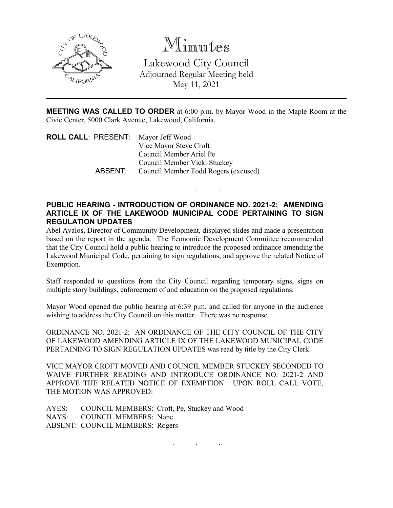

Minutes Lakewood City Council Adjourned Regular Meeting held May 11, 2021

**MEETING WAS CALLED TO ORDER** at 6:00 p.m. by Mayor Wood in the Maple Room at the Civic Center, 5000 Clark Avenue, Lakewood, California.

. . .

| <b>ROLL CALL: PRESENT:</b> Mayor Jeff Wood |                                              |
|--------------------------------------------|----------------------------------------------|
|                                            | Vice Mayor Steve Croft                       |
|                                            | Council Member Ariel Pe                      |
|                                            | Council Member Vicki Stuckey                 |
|                                            | ABSENT: Council Member Todd Rogers (excused) |
|                                            |                                              |

## **PUBLIC HEARING - INTRODUCTION OF ORDINANCE NO. 2021-2; AMENDING ARTICLE IX OF THE LAKEWOOD MUNICIPAL CODE PERTAINING TO SIGN REGULATION UPDATES**

Abel Avalos, Director of Community Development, displayed slides and made a presentation based on the report in the agenda. The Economic Development Committee recommended that the City Council hold a public hearing to introduce the proposed ordinance amending the Lakewood Municipal Code, pertaining to sign regulations, and approve the related Notice of Exemption.

Staff responded to questions from the City Council regarding temporary signs, signs on multiple story buildings, enforcement of and education on the proposed regulations.

Mayor Wood opened the public hearing at 6:39 p.m. and called for anyone in the audience wishing to address the City Council on this matter. There was no response.

ORDINANCE NO. 2021-2; AN ORDINANCE OF THE CITY COUNCIL OF THE CITY OF LAKEWOOD AMENDING ARTICLE IX OF THE LAKEWOOD MUNICIPAL CODE PERTAINING TO SIGN REGULATION UPDATES was read by title by the City Clerk.

VICE MAYOR CROFT MOVED AND COUNCIL MEMBER STUCKEY SECONDED TO WAIVE FURTHER READING AND INTRODUCE ORDINANCE NO. 2021-2 AND APPROVE THE RELATED NOTICE OF EXEMPTION. UPON ROLL CALL VOTE, THE MOTION WAS APPROVED:

AYES: COUNCIL MEMBERS: Croft, Pe, Stuckey and Wood NAYS: COUNCIL MEMBERS: None ABSENT: COUNCIL MEMBERS: Rogers

. . .